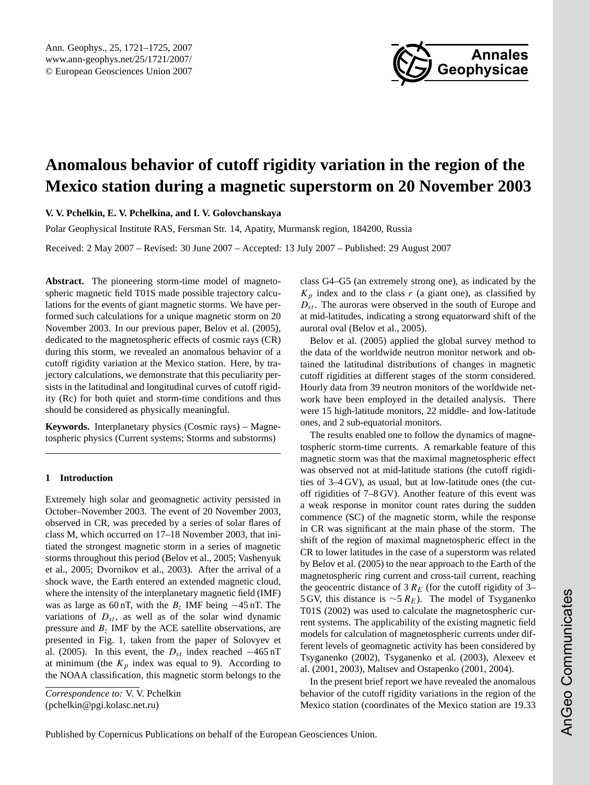

# <span id="page-0-0"></span>**Anomalous behavior of cutoff rigidity variation in the region of the Mexico station during a magnetic superstorm on 20 November 2003**

**V. V. Pchelkin, E. V. Pchelkina, and I. V. Golovchanskaya**

Polar Geophysical Institute RAS, Fersman Str. 14, Apatity, Murmansk region, 184200, Russia

Received: 2 May 2007 – Revised: 30 June 2007 – Accepted: 13 July 2007 – Published: 29 August 2007

**Abstract.** The pioneering storm-time model of magnetospheric magnetic field T01S made possible trajectory calculations for the events of giant magnetic storms. We have performed such calculations for a unique magnetic storm on 20 November 2003. In our previous paper, Belov et al. (2005), dedicated to the magnetospheric effects of cosmic rays (CR) during this storm, we revealed an anomalous behavior of a cutoff rigidity variation at the Mexico station. Here, by trajectory calculations, we demonstrate that this peculiarity persists in the latitudinal and longitudinal curves of cutoff rigidity (Rc) for both quiet and storm-time conditions and thus should be considered as physically meaningful.

**Keywords.** Interplanetary physics (Cosmic rays) – Magnetospheric physics (Current systems; Storms and substorms)

#### **1 Introduction**

Extremely high solar and geomagnetic activity persisted in October–November 2003. The event of 20 November 2003, observed in CR, was preceded by a series of solar flares of class M, which occurred on 17–18 November 2003, that initiated the strongest magnetic storm in a series of magnetic storms throughout this period (Belov et al., 2005; Vashenyuk et al., 2005; Dvornikov et al., 2003). After the arrival of a shock wave, the Earth entered an extended magnetic cloud, where the intensity of the interplanetary magnetic field (IMF) was as large as 60 nT, with the  $B_7$  IMF being  $-45$  nT. The variations of  $D_{st}$ , as well as of the solar wind dynamic pressure and  $B_z$  IMF by the ACE satellite observations, are presented in Fig. 1, taken from the paper of Solovyev et al. (2005). In this event, the  $D_{st}$  index reached  $-465$  nT at minimum (the  $K_p$  index was equal to 9). According to the NOAA classification, this magnetic storm belongs to the

*Correspondence to:* V. V. Pchelkin (pchelkin@pgi.kolasc.net.ru)

class G4–G5 (an extremely strong one), as indicated by the  $K_p$  index and to the class r (a giant one), as classified by  $D_{st}$ . The auroras were observed in the south of Europe and at mid-latitudes, indicating a strong equatorward shift of the auroral oval (Belov et al., 2005).

Belov et al. (2005) applied the global survey method to the data of the worldwide neutron monitor network and obtained the latitudinal distributions of changes in magnetic cutoff rigidities at different stages of the storm considered. Hourly data from 39 neutron monitors of the worldwide network have been employed in the detailed analysis. There were 15 high-latitude monitors, 22 middle- and low-latitude ones, and 2 sub-equatorial monitors.

The results enabled one to follow the dynamics of magnetospheric storm-time currents. A remarkable feature of this magnetic storm was that the maximal magnetospheric effect was observed not at mid-latitude stations (the cutoff rigidities of 3–4 GV), as usual, but at low-latitude ones (the cutoff rigidities of 7–8 GV). Another feature of this event was a weak response in monitor count rates during the sudden commence (SC) of the magnetic storm, while the response in CR was significant at the main phase of the storm. The shift of the region of maximal magnetospheric effect in the CR to lower latitudes in the case of a superstorm was related by Belov et al. (2005) to the near approach to the Earth of the magnetospheric ring current and cross-tail current, reaching the geocentric distance of 3  $R_E$  (for the cutoff rigidity of 3– 5 GV, this distance is  $\sim$ 5 R<sub>E</sub>). The model of Tsyganenko T01S (2002) was used to calculate the magnetospheric current systems. The applicability of the existing magnetic field models for calculation of magnetospheric currents under different levels of geomagnetic activity has been considered by Tsyganenko (2002), Tsyganenko et al. (2003), Alexeev et al. (2001, 2003), Maltsev and Ostapenko (2001, 2004).

In the present brief report we have revealed the anomalous behavior of the cutoff rigidity variations in the region of the Mexico station (coordinates of the Mexico station are 19.33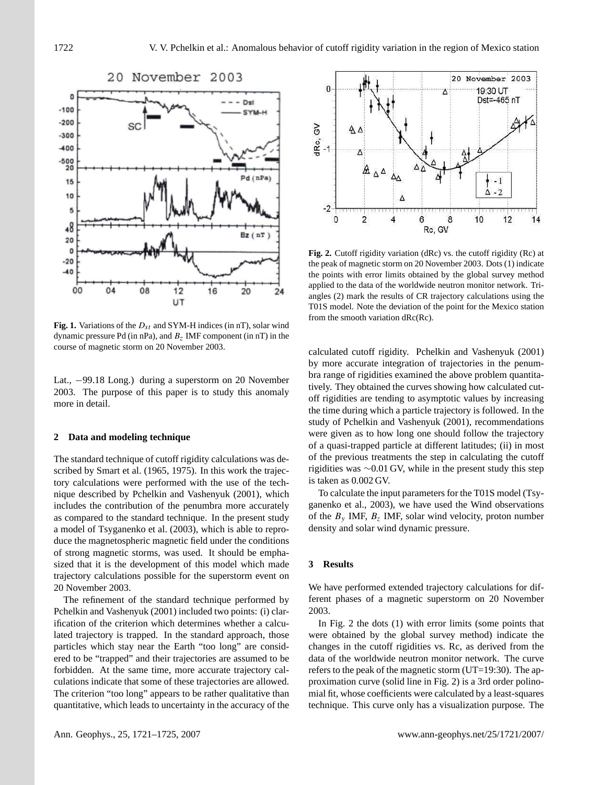

**Fig. 1.** Variations of the  $D_{st}$  and SYM-H indices (in nT), solar wind dynamic pressure Pd (in nPa), and  $B_z$  IMF component (in nT) in the course of magnetic storm on 20 November 2003.

Lat., −99.18 Long.) during a superstorm on 20 November <sup>bra</sup> fange of rigidities examented the pressure pressure 2003. The purpose of this paper is to study this anomaly off rividities are tending to 2003. more in detail.

#### **2 Data and modeling technique**

The standard technique of cutoff rigidity calculations was described by Smart et al. (1965, 1975). In this work the trajectory calculations were performed with the use of the technique described by Pchelkin and Vashenyuk (2001), which includes the contribution of the penumbra more accurately as compared to the standard technique. In the present study a model of Tsyganenko et al. (2003), which is able to reproduce the magnetospheric magnetic field under the conditions of strong magnetic storms, was used. It should be emphasized that it is the development of this model which made trajectory calculations possible for the superstorm event on 20 November 2003.

The refinement of the standard technique performed by Pchelkin and Vashenyuk (2001) included two points: (i) clarification of the criterion which determines whether a calculated trajectory is trapped. In the standard approach, those particles which stay near the Earth "too long" are considered to be "trapped" and their trajectories are assumed to be forbidden. At the same time, more accurate trajectory calculations indicate that some of these trajectories are allowed. The criterion "too long" appears to be rather qualitative than quantitative, which leads to uncertainty in the accuracy of the



applied to the data of the worldwide neutron monitor network. Tri $m<sub>S</sub>$  indicate the storm of the point for the Mexico station  $T<sub>0</sub>$  indicate the deviation of the point for the Mexico station from the smooth variation  $dRc(Rc)$ . **Fig. 2.** Cutoff rigidity variation (dRc) vs. the cutoff rigidity (Rc) at the peak of magnetic storm on 20 November 2003. Dots (1) indicate the points with error limits obtained by the global survey method angles (2) mark the results of CR trajectory calculations using the

calculated cutoff rigidity. Pchelkin and Vashenyuk (2001) by more accurate integration of trajectories in the penumbra range of rigidities examined the above problem quantitatively. They obtained the curves showing how calculated cutoff rigidities are tending to asymptotic values by increasing the time during which a particle trajectory is followed. In the study of Pchelkin and Vashenyuk (2001), recommendations were given as to how long one should follow the trajectory of a quasi-trapped particle at different latitudes; (ii) in most of the previous treatments the step in calculating the cutoff rigidities was ∼0.01 GV, while in the present study this step is taken as 0.002 GV.

To calculate the input parameters for the T01S model (Tsyganenko et al., 2003), we have used the Wind observations of the  $B_y$  IMF,  $B_z$  IMF, solar wind velocity, proton number density and solar wind dynamic pressure.

#### **3 Results**

We have performed extended trajectory calculations for different phases of a magnetic superstorm on 20 November 2003.

In Fig. 2 the dots (1) with error limits (some points that were obtained by the global survey method) indicate the changes in the cutoff rigidities vs. Rc, as derived from the data of the worldwide neutron monitor network. The curve refers to the peak of the magnetic storm (UT=19:30). The approximation curve (solid line in Fig. 2) is a 3rd order polinomial fit, whose coefficients were calculated by a least-squares technique. This curve only has a visualization purpose. The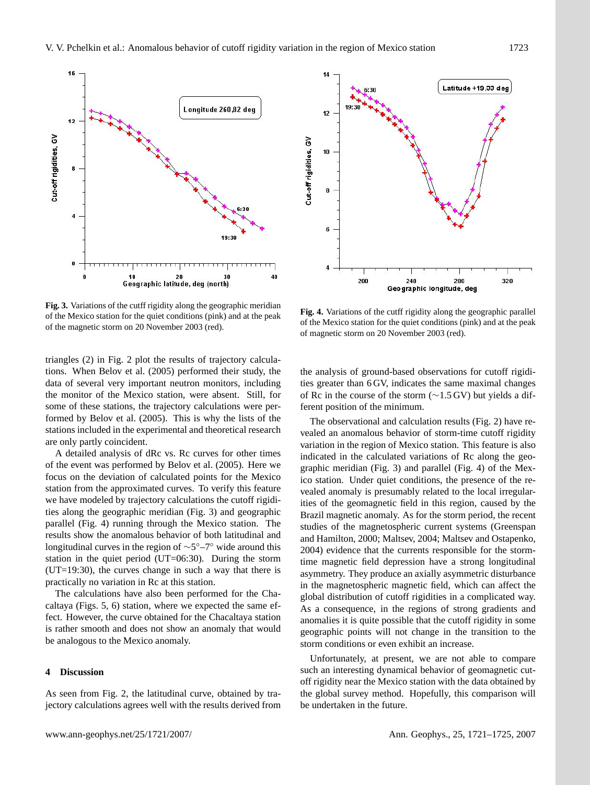

**Fig. 3.** Variations of the cutff rigidity along the geographic meridian of the Mexico station for the quiet conditions (pink) and at the peak of the magnetic storm on 20 November 2003 (red).

triangles (2) in Fig. 2 plot the results of trajectory calculations. When Belov et al. (2005) performed their study, the data of several very important neutron monitors, including the monitor of the Mexico station, were absent. Still, for some of these stations, the trajectory calculations were performed by Belov et al. (2005). This is why the lists of the stations included in the experimental and theoretical research are only partly coincident.

A detailed analysis of dRc vs. Rc curves for other times of the event was performed by Belov et al. (2005). Here we focus on the deviation of calculated points for the Mexico station from the approximated curves. To verify this feature we have modeled by trajectory calculations the cutoff rigidities along the geographic meridian (Fig. 3) and geographic parallel (Fig. 4) running through the Mexico station. The results show the anomalous behavior of both latitudinal and longitudinal curves in the region of  $\sim$ 5°–7° wide around this station in the quiet period (UT=06:30). During the storm (UT=19:30), the curves change in such a way that there is practically no variation in Rc at this station.

The calculations have also been performed for the Chacaltaya (Figs. 5, 6) station, where we expected the same effect. However, the curve obtained for the Chacaltaya station is rather smooth and does not show an anomaly that would be analogous to the Mexico anomaly.

### **4 Discussion**

As seen from Fig. 2, the latitudinal curve, obtained by trajectory calculations agrees well with the results derived from



of magnetic storm on 20 November 2003 (red). **Fig. 4.** Variations of the cutff rigidity along the geographic parallel of the Mexico station for the quiet conditions (pink) and at the peak

station for the quiet conditions (pink) and at the peak of magnetic storm on 20 November

the analysis of ground-based observations for cutoff rigidities greater than 6 GV, indicates the same maximal changes of Rc in the course of the storm (∼1.5 GV) but yields a different position of the minimum.

The observational and calculation results (Fig. 2) have revealed an anomalous behavior of storm-time cutoff rigidity variation in the region of Mexico station. This feature is also indicated in the calculated variations of Rc along the geographic meridian (Fig. 3) and parallel (Fig. 4) of the Mexico station. Under quiet conditions, the presence of the revealed anomaly is presumably related to the local irregularities of the geomagnetic field in this region, caused by the Brazil magnetic anomaly. As for the storm period, the recent studies of the magnetospheric current systems (Greenspan and Hamilton, 2000; Maltsev, 2004; Maltsev and Ostapenko, 2004) evidence that the currents responsible for the stormtime magnetic field depression have a strong longitudinal asymmetry. They produce an axially asymmetric disturbance in the magnetospheric magnetic field, which can affect the global distribution of cutoff rigidities in a complicated way. As a consequence, in the regions of strong gradients and anomalies it is quite possible that the cutoff rigidity in some geographic points will not change in the transition to the storm conditions or even exhibit an increase.

Unfortunately, at present, we are not able to compare such an interesting dynamical behavior of geomagnetic cutoff rigidity near the Mexico station with the data obtained by the global survey method. Hopefully, this comparison will be undertaken in the future.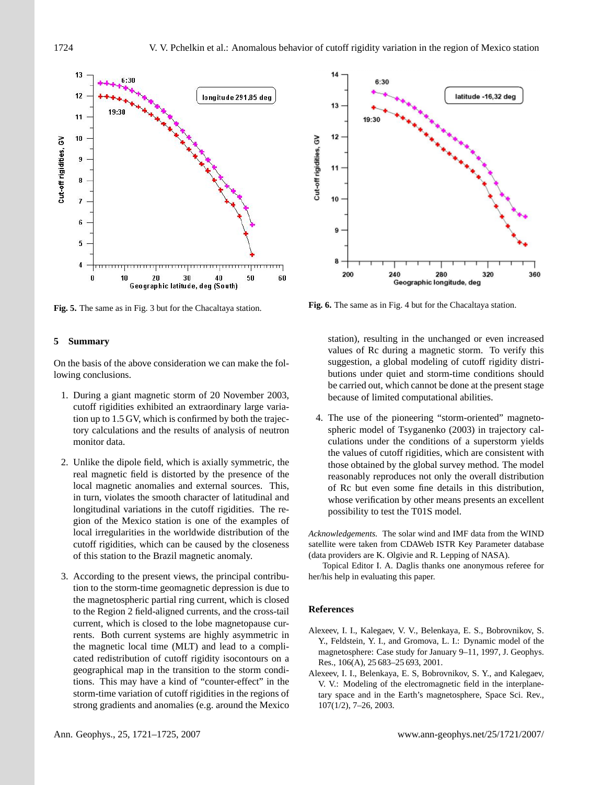

**Fig. 5.** The same as in Fig. 3 but for the Chacaltaya station.

# 14  $6:30$ latitude -16,32 deg  $13$  $19-30$  $12$ Cut-off rigidities, GV  $11$ 10 9 8 200 240 280 320 360 Geographic longitude, deg

**Fig. 6.** The same as in Fig. 4 but for the Chacaltaya station.

## **5 Summary**

On the basis of the above consideration we can make the following conclusions.

- 1. During a giant magnetic storm of 20 November 2003, cutoff rigidities exhibited an extraordinary large variation up to 1.5 GV, which is confirmed by both the trajectory calculations and the results of analysis of neutron monitor data.
- 2. Unlike the dipole field, which is axially symmetric, the real magnetic field is distorted by the presence of the local magnetic anomalies and external sources. This, in turn, violates the smooth character of latitudinal and longitudinal variations in the cutoff rigidities. The region of the Mexico station is one of the examples of local irregularities in the worldwide distribution of the cutoff rigidities, which can be caused by the closeness of this station to the Brazil magnetic anomaly.
- 3. According to the present views, the principal contribution to the storm-time geomagnetic depression is due to the magnetospheric partial ring current, which is closed to the Region 2 field-aligned currents, and the cross-tail current, which is closed to the lobe magnetopause currents. Both current systems are highly asymmetric in the magnetic local time (MLT) and lead to a complicated redistribution of cutoff rigidity isocontours on a geographical map in the transition to the storm conditions. This may have a kind of "counter-effect" in the storm-time variation of cutoff rigidities in the regions of strong gradients and anomalies (e.g. around the Mexico

station), resulting in the unchanged or even increased values of Rc during a magnetic storm. To verify this suggestion, a global modeling of cutoff rigidity distributions under quiet and storm-time conditions should be carried out, which cannot be done at the present stage because of limited computational abilities.

4. The use of the pioneering "storm-oriented" magnetospheric model of Tsyganenko (2003) in trajectory calculations under the conditions of a superstorm yields the values of cutoff rigidities, which are consistent with those obtained by the global survey method. The model reasonably reproduces not only the overall distribution of Rc but even some fine details in this distribution, whose verification by other means presents an excellent possibility to test the T01S model.

*Acknowledgements.* The solar wind and IMF data from the WIND satellite were taken from CDAWeb ISTR Key Parameter database (data providers are K. Olgivie and R. Lepping of NASA).

Topical Editor I. A. Daglis thanks one anonymous referee for her/his help in evaluating this paper.

# **References**

- Alexeev, I. I., Kalegaev, V. V., Belenkaya, E. S., Bobrovnikov, S. Y., Feldstein, Y. I., and Gromova, L. I.: Dynamic model of the magnetosphere: Case study for January 9–11, 1997, J. Geophys. Res., 106(A), 25 683–25 693, 2001.
- Alexeev, I. I., Belenkaya, E. S, Bobrovnikov, S. Y., and Kalegaev, V. V.: Modeling of the electromagnetic field in the interplanetary space and in the Earth's magnetosphere, Space Sci. Rev., 107(1/2), 7–26, 2003.